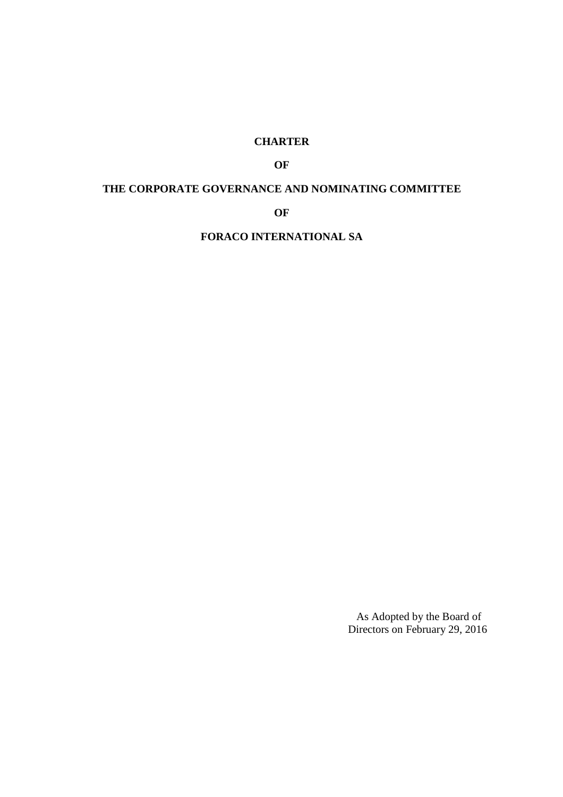# **CHARTER**

# **OF**

# **THE CORPORATE GOVERNANCE AND NOMINATING COMMITTEE**

**OF** 

**FORACO INTERNATIONAL SA** 

As Adopted by the Board of Directors on February 29, 2016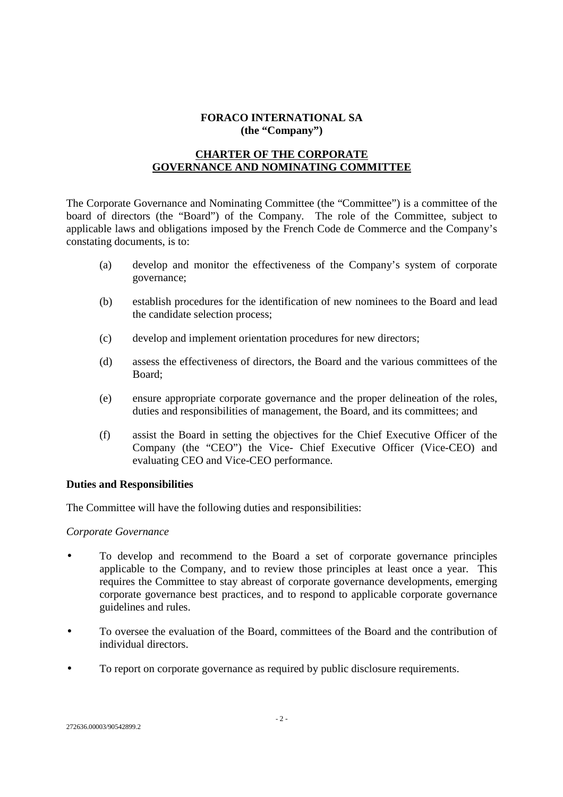### **FORACO INTERNATIONAL SA (the "Company")**

# **CHARTER OF THE CORPORATE GOVERNANCE AND NOMINATING COMMITTEE**

The Corporate Governance and Nominating Committee (the "Committee") is a committee of the board of directors (the "Board") of the Company. The role of the Committee, subject to applicable laws and obligations imposed by the French Code de Commerce and the Company's constating documents, is to:

- (a) develop and monitor the effectiveness of the Company's system of corporate governance;
- (b) establish procedures for the identification of new nominees to the Board and lead the candidate selection process;
- (c) develop and implement orientation procedures for new directors;
- (d) assess the effectiveness of directors, the Board and the various committees of the Board;
- (e) ensure appropriate corporate governance and the proper delineation of the roles, duties and responsibilities of management, the Board, and its committees; and
- (f) assist the Board in setting the objectives for the Chief Executive Officer of the Company (the "CEO") the Vice- Chief Executive Officer (Vice-CEO) and evaluating CEO and Vice-CEO performance.

#### **Duties and Responsibilities**

The Committee will have the following duties and responsibilities:

*Corporate Governance* 

- To develop and recommend to the Board a set of corporate governance principles applicable to the Company, and to review those principles at least once a year. This requires the Committee to stay abreast of corporate governance developments, emerging corporate governance best practices, and to respond to applicable corporate governance guidelines and rules.
- To oversee the evaluation of the Board, committees of the Board and the contribution of individual directors.
- To report on corporate governance as required by public disclosure requirements.

272636.00003/90542899.2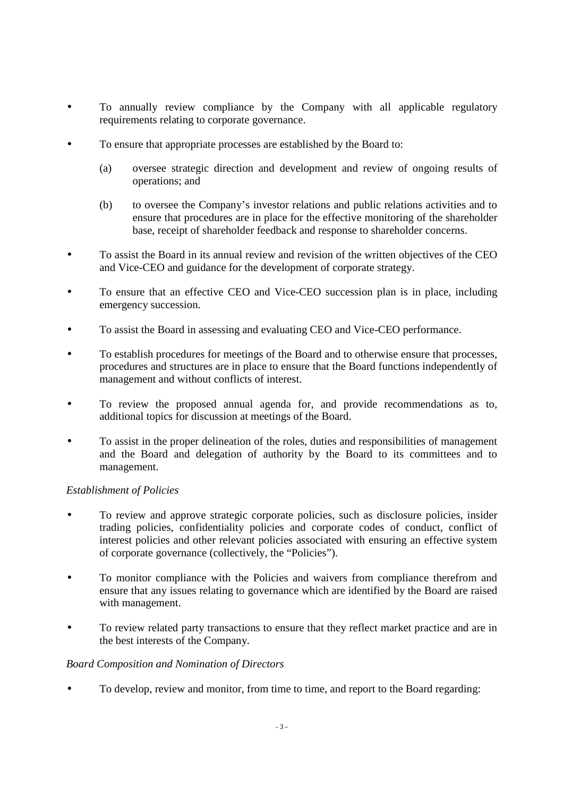- To annually review compliance by the Company with all applicable regulatory requirements relating to corporate governance.
- To ensure that appropriate processes are established by the Board to:
	- (a) oversee strategic direction and development and review of ongoing results of operations; and
	- (b) to oversee the Company's investor relations and public relations activities and to ensure that procedures are in place for the effective monitoring of the shareholder base, receipt of shareholder feedback and response to shareholder concerns.
- To assist the Board in its annual review and revision of the written objectives of the CEO and Vice-CEO and guidance for the development of corporate strategy.
- To ensure that an effective CEO and Vice-CEO succession plan is in place, including emergency succession.
- To assist the Board in assessing and evaluating CEO and Vice-CEO performance.
- To establish procedures for meetings of the Board and to otherwise ensure that processes, procedures and structures are in place to ensure that the Board functions independently of management and without conflicts of interest.
- To review the proposed annual agenda for, and provide recommendations as to, additional topics for discussion at meetings of the Board.
- To assist in the proper delineation of the roles, duties and responsibilities of management and the Board and delegation of authority by the Board to its committees and to management.

### *Establishment of Policies*

- To review and approve strategic corporate policies, such as disclosure policies, insider trading policies, confidentiality policies and corporate codes of conduct, conflict of interest policies and other relevant policies associated with ensuring an effective system of corporate governance (collectively, the "Policies").
- To monitor compliance with the Policies and waivers from compliance therefrom and ensure that any issues relating to governance which are identified by the Board are raised with management.
- To review related party transactions to ensure that they reflect market practice and are in the best interests of the Company.

### *Board Composition and Nomination of Directors*

• To develop, review and monitor, from time to time, and report to the Board regarding: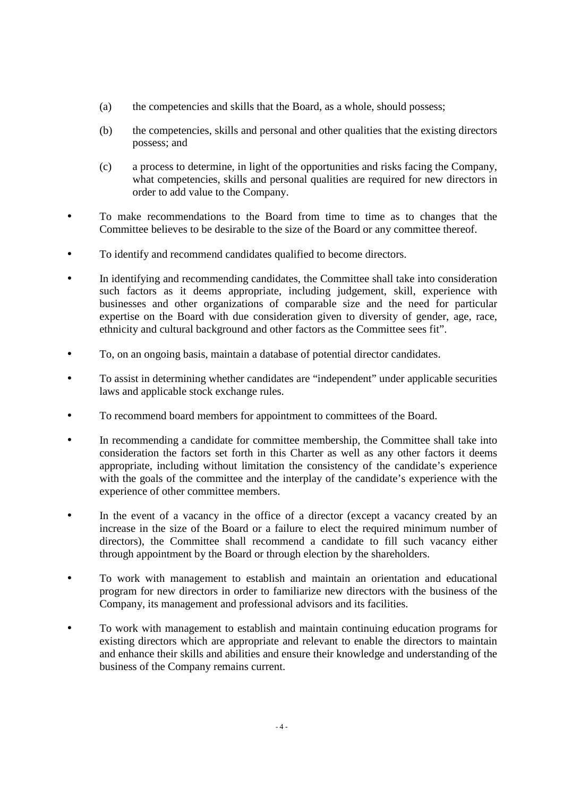- (a) the competencies and skills that the Board, as a whole, should possess;
- (b) the competencies, skills and personal and other qualities that the existing directors possess; and
- (c) a process to determine, in light of the opportunities and risks facing the Company, what competencies, skills and personal qualities are required for new directors in order to add value to the Company.
- To make recommendations to the Board from time to time as to changes that the Committee believes to be desirable to the size of the Board or any committee thereof.
- To identify and recommend candidates qualified to become directors.
- In identifying and recommending candidates, the Committee shall take into consideration such factors as it deems appropriate, including judgement, skill, experience with businesses and other organizations of comparable size and the need for particular expertise on the Board with due consideration given to diversity of gender, age, race, ethnicity and cultural background and other factors as the Committee sees fit".
- To, on an ongoing basis, maintain a database of potential director candidates.
- To assist in determining whether candidates are "independent" under applicable securities laws and applicable stock exchange rules.
- To recommend board members for appointment to committees of the Board.
- In recommending a candidate for committee membership, the Committee shall take into consideration the factors set forth in this Charter as well as any other factors it deems appropriate, including without limitation the consistency of the candidate's experience with the goals of the committee and the interplay of the candidate's experience with the experience of other committee members.
- In the event of a vacancy in the office of a director (except a vacancy created by an increase in the size of the Board or a failure to elect the required minimum number of directors), the Committee shall recommend a candidate to fill such vacancy either through appointment by the Board or through election by the shareholders.
- To work with management to establish and maintain an orientation and educational program for new directors in order to familiarize new directors with the business of the Company, its management and professional advisors and its facilities.
- To work with management to establish and maintain continuing education programs for existing directors which are appropriate and relevant to enable the directors to maintain and enhance their skills and abilities and ensure their knowledge and understanding of the business of the Company remains current.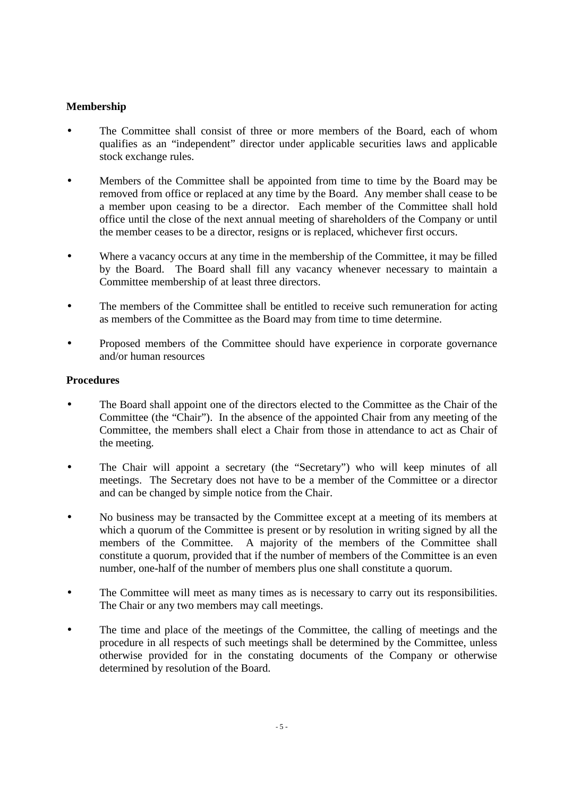# **Membership**

- The Committee shall consist of three or more members of the Board, each of whom qualifies as an "independent" director under applicable securities laws and applicable stock exchange rules.
- Members of the Committee shall be appointed from time to time by the Board may be removed from office or replaced at any time by the Board. Any member shall cease to be a member upon ceasing to be a director. Each member of the Committee shall hold office until the close of the next annual meeting of shareholders of the Company or until the member ceases to be a director, resigns or is replaced, whichever first occurs.
- Where a vacancy occurs at any time in the membership of the Committee, it may be filled by the Board. The Board shall fill any vacancy whenever necessary to maintain a Committee membership of at least three directors.
- The members of the Committee shall be entitled to receive such remuneration for acting as members of the Committee as the Board may from time to time determine.
- Proposed members of the Committee should have experience in corporate governance and/or human resources

### **Procedures**

- The Board shall appoint one of the directors elected to the Committee as the Chair of the Committee (the "Chair"). In the absence of the appointed Chair from any meeting of the Committee, the members shall elect a Chair from those in attendance to act as Chair of the meeting.
- The Chair will appoint a secretary (the "Secretary") who will keep minutes of all meetings. The Secretary does not have to be a member of the Committee or a director and can be changed by simple notice from the Chair.
- No business may be transacted by the Committee except at a meeting of its members at which a quorum of the Committee is present or by resolution in writing signed by all the members of the Committee. A majority of the members of the Committee shall constitute a quorum, provided that if the number of members of the Committee is an even number, one-half of the number of members plus one shall constitute a quorum.
- The Committee will meet as many times as is necessary to carry out its responsibilities. The Chair or any two members may call meetings.
- The time and place of the meetings of the Committee, the calling of meetings and the procedure in all respects of such meetings shall be determined by the Committee, unless otherwise provided for in the constating documents of the Company or otherwise determined by resolution of the Board.